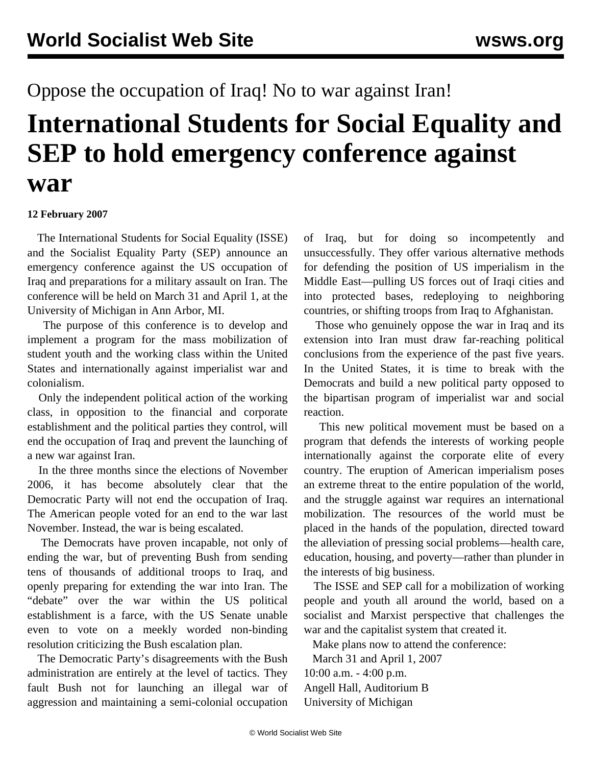## Oppose the occupation of Iraq! No to war against Iran!

## **International Students for Social Equality and SEP to hold emergency conference against war**

## **12 February 2007**

 The International Students for Social Equality (ISSE) and the Socialist Equality Party (SEP) announce an emergency conference against the US occupation of Iraq and preparations for a military assault on Iran. The conference will be held on March 31 and April 1, at the University of Michigan in Ann Arbor, MI.

 The purpose of this conference is to develop and implement a program for the mass mobilization of student youth and the working class within the United States and internationally against imperialist war and colonialism.

 Only the independent political action of the working class, in opposition to the financial and corporate establishment and the political parties they control, will end the occupation of Iraq and prevent the launching of a new war against Iran.

 In the three months since the elections of November 2006, it has become absolutely clear that the Democratic Party will not end the occupation of Iraq. The American people voted for an end to the war last November. Instead, the war is being escalated.

 The Democrats have proven incapable, not only of ending the war, but of preventing Bush from sending tens of thousands of additional troops to Iraq, and openly preparing for extending the war into Iran. The "debate" over the war within the US political establishment is a farce, with the US Senate unable even to vote on a meekly worded non-binding resolution criticizing the Bush escalation plan.

 The Democratic Party's disagreements with the Bush administration are entirely at the level of tactics. They fault Bush not for launching an illegal war of aggression and maintaining a semi-colonial occupation of Iraq, but for doing so incompetently and unsuccessfully. They offer various alternative methods for defending the position of US imperialism in the Middle East—pulling US forces out of Iraqi cities and into protected bases, redeploying to neighboring countries, or shifting troops from Iraq to Afghanistan.

 Those who genuinely oppose the war in Iraq and its extension into Iran must draw far-reaching political conclusions from the experience of the past five years. In the United States, it is time to break with the Democrats and build a new political party opposed to the bipartisan program of imperialist war and social reaction.

 This new political movement must be based on a program that defends the interests of working people internationally against the corporate elite of every country. The eruption of American imperialism poses an extreme threat to the entire population of the world, and the struggle against war requires an international mobilization. The resources of the world must be placed in the hands of the population, directed toward the alleviation of pressing social problems—health care, education, housing, and poverty—rather than plunder in the interests of big business.

 The ISSE and SEP call for a mobilization of working people and youth all around the world, based on a socialist and Marxist perspective that challenges the war and the capitalist system that created it.

Make plans now to attend the conference:

 March 31 and April 1, 2007 10:00 a.m. - 4:00 p.m. Angell Hall, Auditorium B University of Michigan